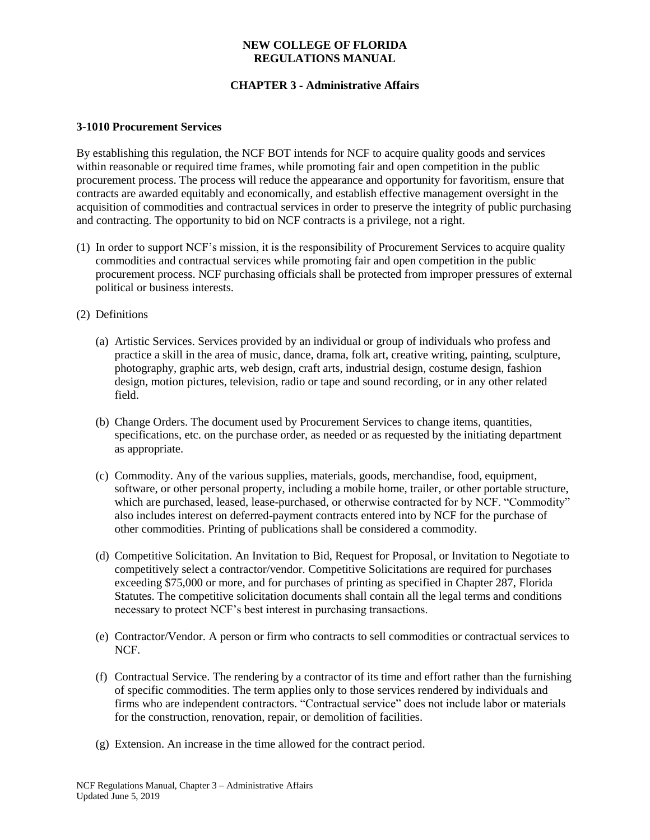## **CHAPTER 3 - Administrative Affairs**

#### **3-1010 Procurement Services**

By establishing this regulation, the NCF BOT intends for NCF to acquire quality goods and services within reasonable or required time frames, while promoting fair and open competition in the public procurement process. The process will reduce the appearance and opportunity for favoritism, ensure that contracts are awarded equitably and economically, and establish effective management oversight in the acquisition of commodities and contractual services in order to preserve the integrity of public purchasing and contracting. The opportunity to bid on NCF contracts is a privilege, not a right.

- (1) In order to support NCF's mission, it is the responsibility of Procurement Services to acquire quality commodities and contractual services while promoting fair and open competition in the public procurement process. NCF purchasing officials shall be protected from improper pressures of external political or business interests.
- (2) Definitions
	- (a) Artistic Services. Services provided by an individual or group of individuals who profess and practice a skill in the area of music, dance, drama, folk art, creative writing, painting, sculpture, photography, graphic arts, web design, craft arts, industrial design, costume design, fashion design, motion pictures, television, radio or tape and sound recording, or in any other related field.
	- (b) Change Orders. The document used by Procurement Services to change items, quantities, specifications, etc. on the purchase order, as needed or as requested by the initiating department as appropriate.
	- (c) Commodity. Any of the various supplies, materials, goods, merchandise, food, equipment, software, or other personal property, including a mobile home, trailer, or other portable structure, which are purchased, leased, lease-purchased, or otherwise contracted for by NCF. "Commodity" also includes interest on deferred-payment contracts entered into by NCF for the purchase of other commodities. Printing of publications shall be considered a commodity.
	- (d) Competitive Solicitation. An Invitation to Bid, Request for Proposal, or Invitation to Negotiate to competitively select a contractor/vendor. Competitive Solicitations are required for purchases exceeding \$75,000 or more, and for purchases of printing as specified in Chapter 287, Florida Statutes. The competitive solicitation documents shall contain all the legal terms and conditions necessary to protect NCF's best interest in purchasing transactions.
	- (e) Contractor/Vendor. A person or firm who contracts to sell commodities or contractual services to NCF.
	- (f) Contractual Service. The rendering by a contractor of its time and effort rather than the furnishing of specific commodities. The term applies only to those services rendered by individuals and firms who are independent contractors. "Contractual service" does not include labor or materials for the construction, renovation, repair, or demolition of facilities.
	- (g) Extension. An increase in the time allowed for the contract period.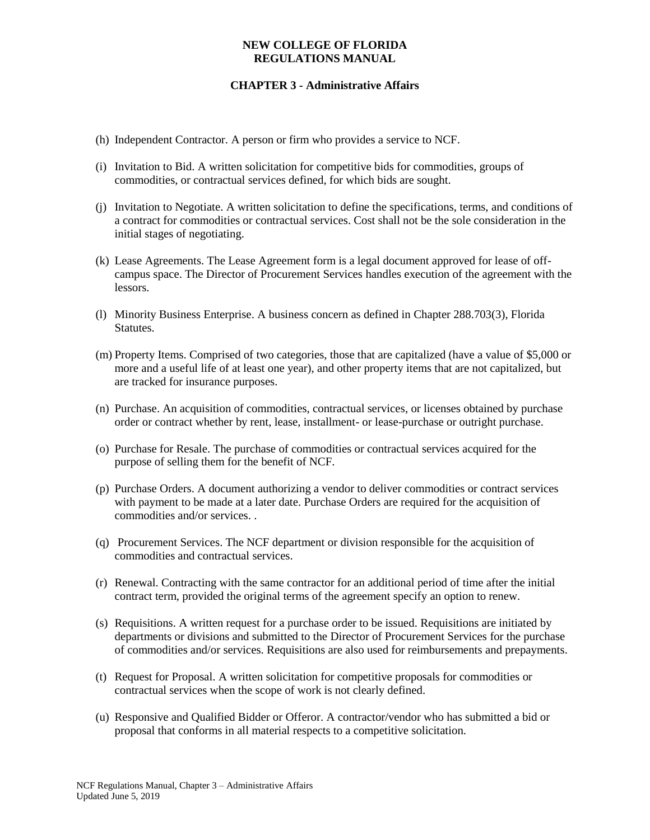- (h) Independent Contractor. A person or firm who provides a service to NCF.
- (i) Invitation to Bid. A written solicitation for competitive bids for commodities, groups of commodities, or contractual services defined, for which bids are sought.
- (j) Invitation to Negotiate. A written solicitation to define the specifications, terms, and conditions of a contract for commodities or contractual services. Cost shall not be the sole consideration in the initial stages of negotiating.
- (k) Lease Agreements. The Lease Agreement form is a legal document approved for lease of offcampus space. The Director of Procurement Services handles execution of the agreement with the lessors.
- (l) Minority Business Enterprise. A business concern as defined in Chapter 288.703(3), Florida Statutes.
- (m) Property Items. Comprised of two categories, those that are capitalized (have a value of \$5,000 or more and a useful life of at least one year), and other property items that are not capitalized, but are tracked for insurance purposes.
- (n) Purchase. An acquisition of commodities, contractual services, or licenses obtained by purchase order or contract whether by rent, lease, installment- or lease-purchase or outright purchase.
- (o) Purchase for Resale. The purchase of commodities or contractual services acquired for the purpose of selling them for the benefit of NCF.
- (p) Purchase Orders. A document authorizing a vendor to deliver commodities or contract services with payment to be made at a later date. Purchase Orders are required for the acquisition of commodities and/or services. .
- (q) Procurement Services. The NCF department or division responsible for the acquisition of commodities and contractual services.
- (r) Renewal. Contracting with the same contractor for an additional period of time after the initial contract term, provided the original terms of the agreement specify an option to renew.
- (s) Requisitions. A written request for a purchase order to be issued. Requisitions are initiated by departments or divisions and submitted to the Director of Procurement Services for the purchase of commodities and/or services. Requisitions are also used for reimbursements and prepayments.
- (t) Request for Proposal. A written solicitation for competitive proposals for commodities or contractual services when the scope of work is not clearly defined.
- (u) Responsive and Qualified Bidder or Offeror. A contractor/vendor who has submitted a bid or proposal that conforms in all material respects to a competitive solicitation.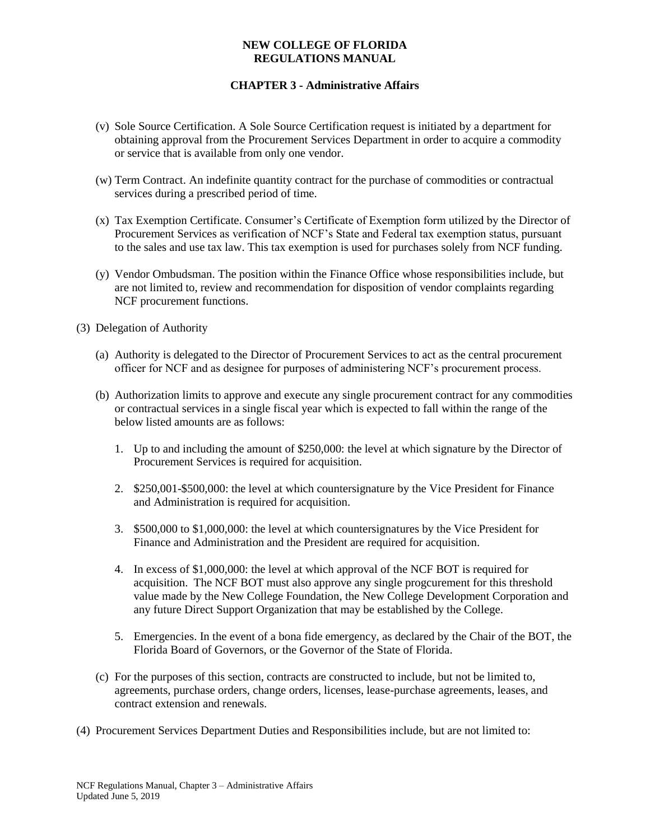- (v) Sole Source Certification. A Sole Source Certification request is initiated by a department for obtaining approval from the Procurement Services Department in order to acquire a commodity or service that is available from only one vendor.
- (w) Term Contract. An indefinite quantity contract for the purchase of commodities or contractual services during a prescribed period of time.
- (x) Tax Exemption Certificate. Consumer's Certificate of Exemption form utilized by the Director of Procurement Services as verification of NCF's State and Federal tax exemption status, pursuant to the sales and use tax law. This tax exemption is used for purchases solely from NCF funding.
- (y) Vendor Ombudsman. The position within the Finance Office whose responsibilities include, but are not limited to, review and recommendation for disposition of vendor complaints regarding NCF procurement functions.
- (3) Delegation of Authority
	- (a) Authority is delegated to the Director of Procurement Services to act as the central procurement officer for NCF and as designee for purposes of administering NCF's procurement process.
	- (b) Authorization limits to approve and execute any single procurement contract for any commodities or contractual services in a single fiscal year which is expected to fall within the range of the below listed amounts are as follows:
		- 1. Up to and including the amount of \$250,000: the level at which signature by the Director of Procurement Services is required for acquisition.
		- 2. \$250,001-\$500,000: the level at which countersignature by the Vice President for Finance and Administration is required for acquisition.
		- 3. \$500,000 to \$1,000,000: the level at which countersignatures by the Vice President for Finance and Administration and the President are required for acquisition.
		- 4. In excess of \$1,000,000: the level at which approval of the NCF BOT is required for acquisition. The NCF BOT must also approve any single progcurement for this threshold value made by the New College Foundation, the New College Development Corporation and any future Direct Support Organization that may be established by the College.
		- 5. Emergencies. In the event of a bona fide emergency, as declared by the Chair of the BOT, the Florida Board of Governors, or the Governor of the State of Florida.
	- (c) For the purposes of this section, contracts are constructed to include, but not be limited to, agreements, purchase orders, change orders, licenses, lease-purchase agreements, leases, and contract extension and renewals.
- (4) Procurement Services Department Duties and Responsibilities include, but are not limited to: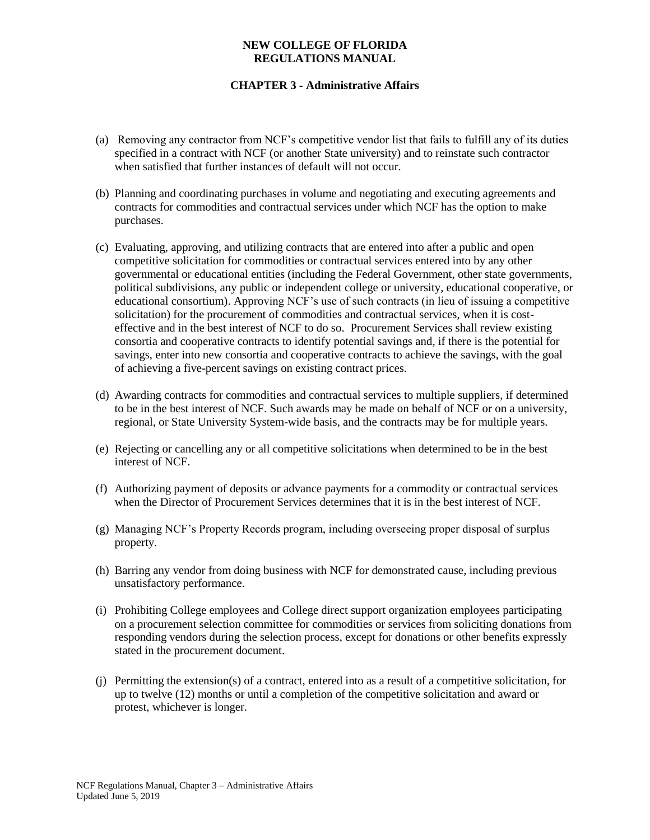- (a) Removing any contractor from NCF's competitive vendor list that fails to fulfill any of its duties specified in a contract with NCF (or another State university) and to reinstate such contractor when satisfied that further instances of default will not occur.
- (b) Planning and coordinating purchases in volume and negotiating and executing agreements and contracts for commodities and contractual services under which NCF has the option to make purchases.
- (c) Evaluating, approving, and utilizing contracts that are entered into after a public and open competitive solicitation for commodities or contractual services entered into by any other governmental or educational entities (including the Federal Government, other state governments, political subdivisions, any public or independent college or university, educational cooperative, or educational consortium). Approving NCF's use of such contracts (in lieu of issuing a competitive solicitation) for the procurement of commodities and contractual services, when it is costeffective and in the best interest of NCF to do so. Procurement Services shall review existing consortia and cooperative contracts to identify potential savings and, if there is the potential for savings, enter into new consortia and cooperative contracts to achieve the savings, with the goal of achieving a five-percent savings on existing contract prices.
- (d) Awarding contracts for commodities and contractual services to multiple suppliers, if determined to be in the best interest of NCF. Such awards may be made on behalf of NCF or on a university, regional, or State University System-wide basis, and the contracts may be for multiple years.
- (e) Rejecting or cancelling any or all competitive solicitations when determined to be in the best interest of NCF.
- (f) Authorizing payment of deposits or advance payments for a commodity or contractual services when the Director of Procurement Services determines that it is in the best interest of NCF.
- (g) Managing NCF's Property Records program, including overseeing proper disposal of surplus property.
- (h) Barring any vendor from doing business with NCF for demonstrated cause, including previous unsatisfactory performance.
- (i) Prohibiting College employees and College direct support organization employees participating on a procurement selection committee for commodities or services from soliciting donations from responding vendors during the selection process, except for donations or other benefits expressly stated in the procurement document.
- (j) Permitting the extension(s) of a contract, entered into as a result of a competitive solicitation, for up to twelve (12) months or until a completion of the competitive solicitation and award or protest, whichever is longer.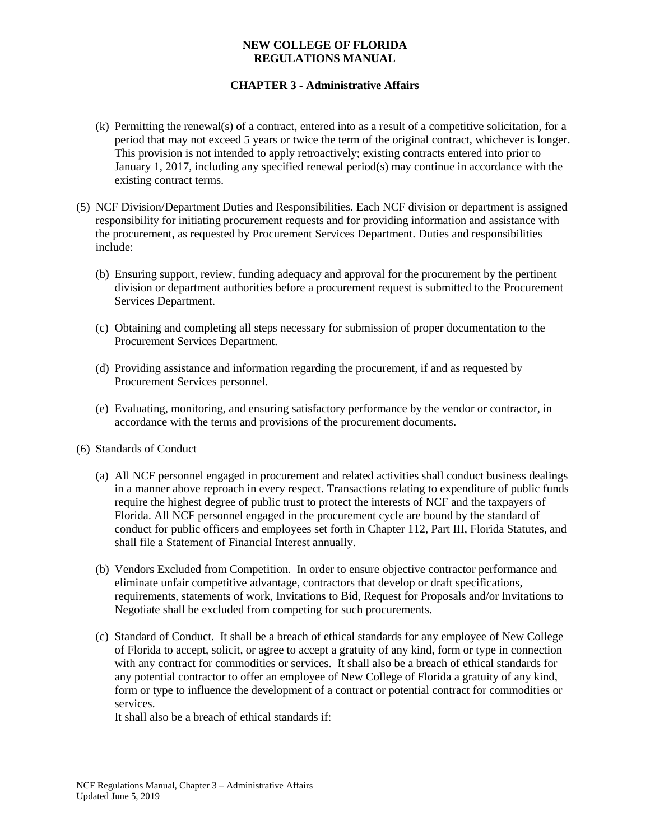## **CHAPTER 3 - Administrative Affairs**

- (k) Permitting the renewal(s) of a contract, entered into as a result of a competitive solicitation, for a period that may not exceed 5 years or twice the term of the original contract, whichever is longer. This provision is not intended to apply retroactively; existing contracts entered into prior to January 1, 2017, including any specified renewal period(s) may continue in accordance with the existing contract terms.
- (5) NCF Division/Department Duties and Responsibilities. Each NCF division or department is assigned responsibility for initiating procurement requests and for providing information and assistance with the procurement, as requested by Procurement Services Department. Duties and responsibilities include:
	- (b) Ensuring support, review, funding adequacy and approval for the procurement by the pertinent division or department authorities before a procurement request is submitted to the Procurement Services Department.
	- (c) Obtaining and completing all steps necessary for submission of proper documentation to the Procurement Services Department.
	- (d) Providing assistance and information regarding the procurement, if and as requested by Procurement Services personnel.
	- (e) Evaluating, monitoring, and ensuring satisfactory performance by the vendor or contractor, in accordance with the terms and provisions of the procurement documents.
- (6) Standards of Conduct
	- (a) All NCF personnel engaged in procurement and related activities shall conduct business dealings in a manner above reproach in every respect. Transactions relating to expenditure of public funds require the highest degree of public trust to protect the interests of NCF and the taxpayers of Florida. All NCF personnel engaged in the procurement cycle are bound by the standard of conduct for public officers and employees set forth in Chapter 112, Part III, Florida Statutes, and shall file a Statement of Financial Interest annually.
	- (b) Vendors Excluded from Competition. In order to ensure objective contractor performance and eliminate unfair competitive advantage, contractors that develop or draft specifications, requirements, statements of work, Invitations to Bid, Request for Proposals and/or Invitations to Negotiate shall be excluded from competing for such procurements.
	- (c) Standard of Conduct. It shall be a breach of ethical standards for any employee of New College of Florida to accept, solicit, or agree to accept a gratuity of any kind, form or type in connection with any contract for commodities or services. It shall also be a breach of ethical standards for any potential contractor to offer an employee of New College of Florida a gratuity of any kind, form or type to influence the development of a contract or potential contract for commodities or services.

It shall also be a breach of ethical standards if: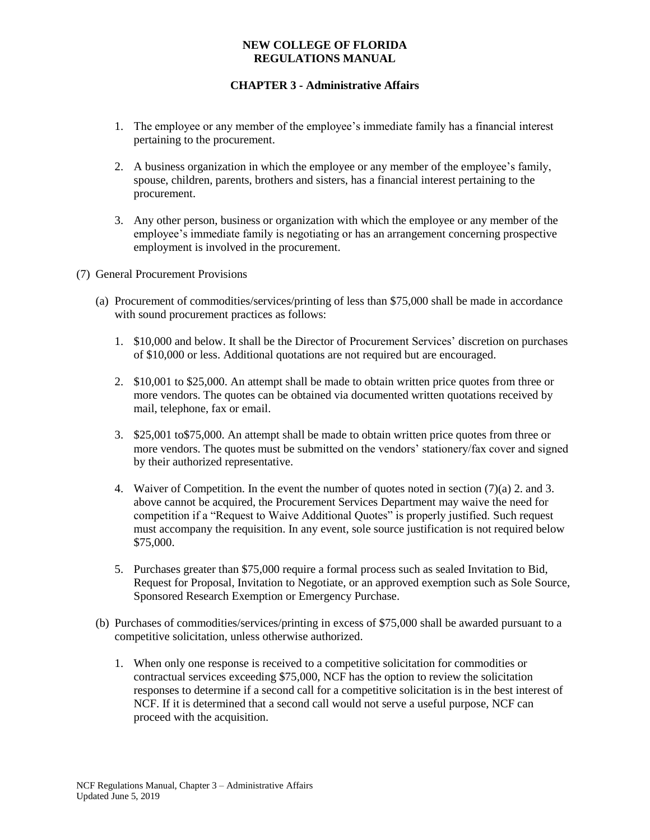- 1. The employee or any member of the employee's immediate family has a financial interest pertaining to the procurement.
- 2. A business organization in which the employee or any member of the employee's family, spouse, children, parents, brothers and sisters, has a financial interest pertaining to the procurement.
- 3. Any other person, business or organization with which the employee or any member of the employee's immediate family is negotiating or has an arrangement concerning prospective employment is involved in the procurement.
- (7) General Procurement Provisions
	- (a) Procurement of commodities/services/printing of less than \$75,000 shall be made in accordance with sound procurement practices as follows:
		- 1. \$10,000 and below. It shall be the Director of Procurement Services' discretion on purchases of \$10,000 or less. Additional quotations are not required but are encouraged.
		- 2. \$10,001 to \$25,000. An attempt shall be made to obtain written price quotes from three or more vendors. The quotes can be obtained via documented written quotations received by mail, telephone, fax or email.
		- 3. \$25,001 to\$75,000. An attempt shall be made to obtain written price quotes from three or more vendors. The quotes must be submitted on the vendors' stationery/fax cover and signed by their authorized representative.
		- 4. Waiver of Competition. In the event the number of quotes noted in section (7)(a) 2. and 3. above cannot be acquired, the Procurement Services Department may waive the need for competition if a "Request to Waive Additional Quotes" is properly justified. Such request must accompany the requisition. In any event, sole source justification is not required below \$75,000.
		- 5. Purchases greater than \$75,000 require a formal process such as sealed Invitation to Bid, Request for Proposal, Invitation to Negotiate, or an approved exemption such as Sole Source, Sponsored Research Exemption or Emergency Purchase.
	- (b) Purchases of commodities/services/printing in excess of \$75,000 shall be awarded pursuant to a competitive solicitation, unless otherwise authorized.
		- 1. When only one response is received to a competitive solicitation for commodities or contractual services exceeding \$75,000, NCF has the option to review the solicitation responses to determine if a second call for a competitive solicitation is in the best interest of NCF. If it is determined that a second call would not serve a useful purpose, NCF can proceed with the acquisition.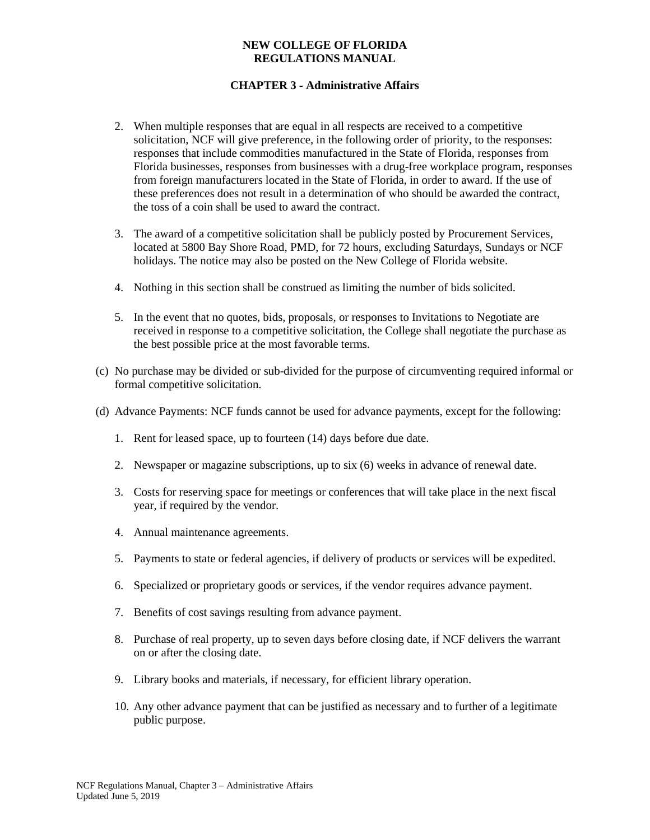- 2. When multiple responses that are equal in all respects are received to a competitive solicitation, NCF will give preference, in the following order of priority, to the responses: responses that include commodities manufactured in the State of Florida, responses from Florida businesses, responses from businesses with a drug-free workplace program, responses from foreign manufacturers located in the State of Florida, in order to award. If the use of these preferences does not result in a determination of who should be awarded the contract, the toss of a coin shall be used to award the contract.
- 3. The award of a competitive solicitation shall be publicly posted by Procurement Services, located at 5800 Bay Shore Road, PMD, for 72 hours, excluding Saturdays, Sundays or NCF holidays. The notice may also be posted on the New College of Florida website.
- 4. Nothing in this section shall be construed as limiting the number of bids solicited.
- 5. In the event that no quotes, bids, proposals, or responses to Invitations to Negotiate are received in response to a competitive solicitation, the College shall negotiate the purchase as the best possible price at the most favorable terms.
- (c) No purchase may be divided or sub-divided for the purpose of circumventing required informal or formal competitive solicitation.
- (d) Advance Payments: NCF funds cannot be used for advance payments, except for the following:
	- 1. Rent for leased space, up to fourteen (14) days before due date.
	- 2. Newspaper or magazine subscriptions, up to six (6) weeks in advance of renewal date.
	- 3. Costs for reserving space for meetings or conferences that will take place in the next fiscal year, if required by the vendor.
	- 4. Annual maintenance agreements.
	- 5. Payments to state or federal agencies, if delivery of products or services will be expedited.
	- 6. Specialized or proprietary goods or services, if the vendor requires advance payment.
	- 7. Benefits of cost savings resulting from advance payment.
	- 8. Purchase of real property, up to seven days before closing date, if NCF delivers the warrant on or after the closing date.
	- 9. Library books and materials, if necessary, for efficient library operation.
	- 10. Any other advance payment that can be justified as necessary and to further of a legitimate public purpose.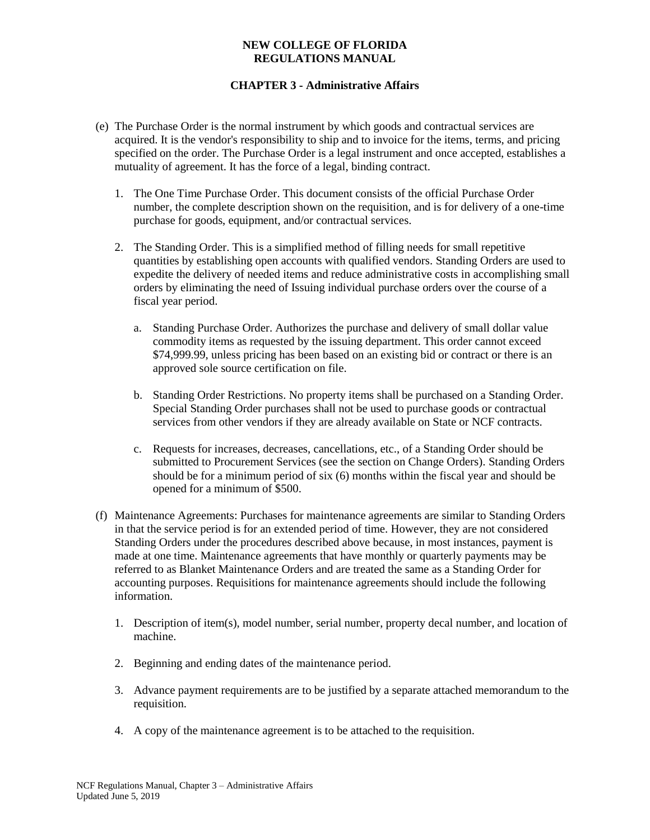- (e) The Purchase Order is the normal instrument by which goods and contractual services are acquired. It is the vendor's responsibility to ship and to invoice for the items, terms, and pricing specified on the order. The Purchase Order is a legal instrument and once accepted, establishes a mutuality of agreement. It has the force of a legal, binding contract.
	- 1. The One Time Purchase Order. This document consists of the official Purchase Order number, the complete description shown on the requisition, and is for delivery of a one-time purchase for goods, equipment, and/or contractual services.
	- 2. The Standing Order. This is a simplified method of filling needs for small repetitive quantities by establishing open accounts with qualified vendors. Standing Orders are used to expedite the delivery of needed items and reduce administrative costs in accomplishing small orders by eliminating the need of Issuing individual purchase orders over the course of a fiscal year period.
		- a. Standing Purchase Order. Authorizes the purchase and delivery of small dollar value commodity items as requested by the issuing department. This order cannot exceed \$74,999.99, unless pricing has been based on an existing bid or contract or there is an approved sole source certification on file.
		- b. Standing Order Restrictions. No property items shall be purchased on a Standing Order. Special Standing Order purchases shall not be used to purchase goods or contractual services from other vendors if they are already available on State or NCF contracts.
		- c. Requests for increases, decreases, cancellations, etc., of a Standing Order should be submitted to Procurement Services (see the section on Change Orders). Standing Orders should be for a minimum period of six (6) months within the fiscal year and should be opened for a minimum of \$500.
- (f) Maintenance Agreements: Purchases for maintenance agreements are similar to Standing Orders in that the service period is for an extended period of time. However, they are not considered Standing Orders under the procedures described above because, in most instances, payment is made at one time. Maintenance agreements that have monthly or quarterly payments may be referred to as Blanket Maintenance Orders and are treated the same as a Standing Order for accounting purposes. Requisitions for maintenance agreements should include the following information.
	- 1. Description of item(s), model number, serial number, property decal number, and location of machine.
	- 2. Beginning and ending dates of the maintenance period.
	- 3. Advance payment requirements are to be justified by a separate attached memorandum to the requisition.
	- 4. A copy of the maintenance agreement is to be attached to the requisition.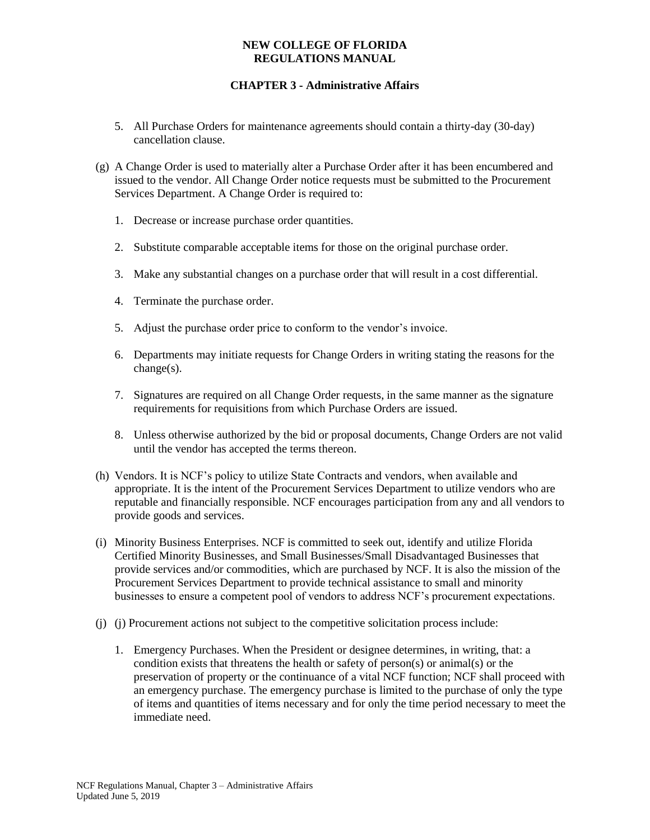- 5. All Purchase Orders for maintenance agreements should contain a thirty-day (30-day) cancellation clause.
- (g) A Change Order is used to materially alter a Purchase Order after it has been encumbered and issued to the vendor. All Change Order notice requests must be submitted to the Procurement Services Department. A Change Order is required to:
	- 1. Decrease or increase purchase order quantities.
	- 2. Substitute comparable acceptable items for those on the original purchase order.
	- 3. Make any substantial changes on a purchase order that will result in a cost differential.
	- 4. Terminate the purchase order.
	- 5. Adjust the purchase order price to conform to the vendor's invoice.
	- 6. Departments may initiate requests for Change Orders in writing stating the reasons for the change(s).
	- 7. Signatures are required on all Change Order requests, in the same manner as the signature requirements for requisitions from which Purchase Orders are issued.
	- 8. Unless otherwise authorized by the bid or proposal documents, Change Orders are not valid until the vendor has accepted the terms thereon.
- (h) Vendors. It is NCF's policy to utilize State Contracts and vendors, when available and appropriate. It is the intent of the Procurement Services Department to utilize vendors who are reputable and financially responsible. NCF encourages participation from any and all vendors to provide goods and services.
- (i) Minority Business Enterprises. NCF is committed to seek out, identify and utilize Florida Certified Minority Businesses, and Small Businesses/Small Disadvantaged Businesses that provide services and/or commodities, which are purchased by NCF. It is also the mission of the Procurement Services Department to provide technical assistance to small and minority businesses to ensure a competent pool of vendors to address NCF's procurement expectations.
- (j) (j) Procurement actions not subject to the competitive solicitation process include:
	- 1. Emergency Purchases. When the President or designee determines, in writing, that: a condition exists that threatens the health or safety of person(s) or animal(s) or the preservation of property or the continuance of a vital NCF function; NCF shall proceed with an emergency purchase. The emergency purchase is limited to the purchase of only the type of items and quantities of items necessary and for only the time period necessary to meet the immediate need.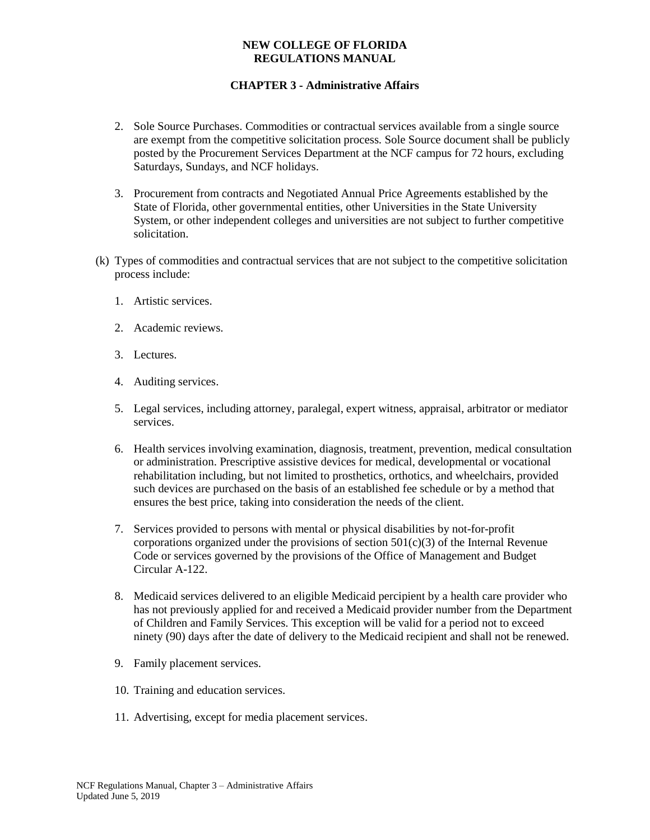- 2. Sole Source Purchases. Commodities or contractual services available from a single source are exempt from the competitive solicitation process. Sole Source document shall be publicly posted by the Procurement Services Department at the NCF campus for 72 hours, excluding Saturdays, Sundays, and NCF holidays.
- 3. Procurement from contracts and Negotiated Annual Price Agreements established by the State of Florida, other governmental entities, other Universities in the State University System, or other independent colleges and universities are not subject to further competitive solicitation.
- (k) Types of commodities and contractual services that are not subject to the competitive solicitation process include:
	- 1. Artistic services.
	- 2. Academic reviews.
	- 3. Lectures.
	- 4. Auditing services.
	- 5. Legal services, including attorney, paralegal, expert witness, appraisal, arbitrator or mediator services.
	- 6. Health services involving examination, diagnosis, treatment, prevention, medical consultation or administration. Prescriptive assistive devices for medical, developmental or vocational rehabilitation including, but not limited to prosthetics, orthotics, and wheelchairs, provided such devices are purchased on the basis of an established fee schedule or by a method that ensures the best price, taking into consideration the needs of the client.
	- 7. Services provided to persons with mental or physical disabilities by not-for-profit corporations organized under the provisions of section  $501(c)(3)$  of the Internal Revenue Code or services governed by the provisions of the Office of Management and Budget Circular A-122.
	- 8. Medicaid services delivered to an eligible Medicaid percipient by a health care provider who has not previously applied for and received a Medicaid provider number from the Department of Children and Family Services. This exception will be valid for a period not to exceed ninety (90) days after the date of delivery to the Medicaid recipient and shall not be renewed.
	- 9. Family placement services.
	- 10. Training and education services.
	- 11. Advertising, except for media placement services.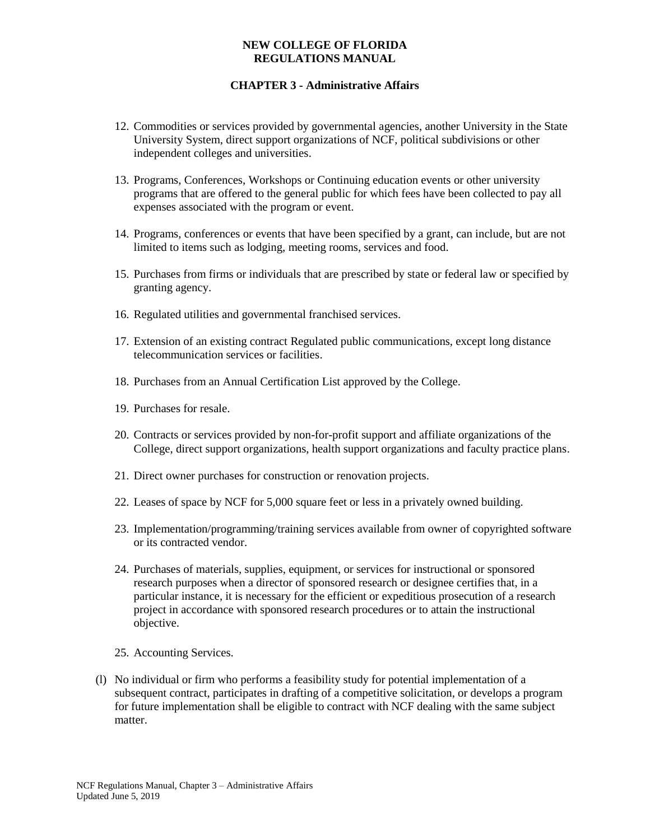- 12. Commodities or services provided by governmental agencies, another University in the State University System, direct support organizations of NCF, political subdivisions or other independent colleges and universities.
- 13. Programs, Conferences, Workshops or Continuing education events or other university programs that are offered to the general public for which fees have been collected to pay all expenses associated with the program or event.
- 14. Programs, conferences or events that have been specified by a grant, can include, but are not limited to items such as lodging, meeting rooms, services and food.
- 15. Purchases from firms or individuals that are prescribed by state or federal law or specified by granting agency.
- 16. Regulated utilities and governmental franchised services.
- 17. Extension of an existing contract Regulated public communications, except long distance telecommunication services or facilities.
- 18. Purchases from an Annual Certification List approved by the College.
- 19. Purchases for resale.
- 20. Contracts or services provided by non-for-profit support and affiliate organizations of the College, direct support organizations, health support organizations and faculty practice plans.
- 21. Direct owner purchases for construction or renovation projects.
- 22. Leases of space by NCF for 5,000 square feet or less in a privately owned building.
- 23. Implementation/programming/training services available from owner of copyrighted software or its contracted vendor.
- 24. Purchases of materials, supplies, equipment, or services for instructional or sponsored research purposes when a director of sponsored research or designee certifies that, in a particular instance, it is necessary for the efficient or expeditious prosecution of a research project in accordance with sponsored research procedures or to attain the instructional objective.
- 25. Accounting Services.
- (l) No individual or firm who performs a feasibility study for potential implementation of a subsequent contract, participates in drafting of a competitive solicitation, or develops a program for future implementation shall be eligible to contract with NCF dealing with the same subject matter.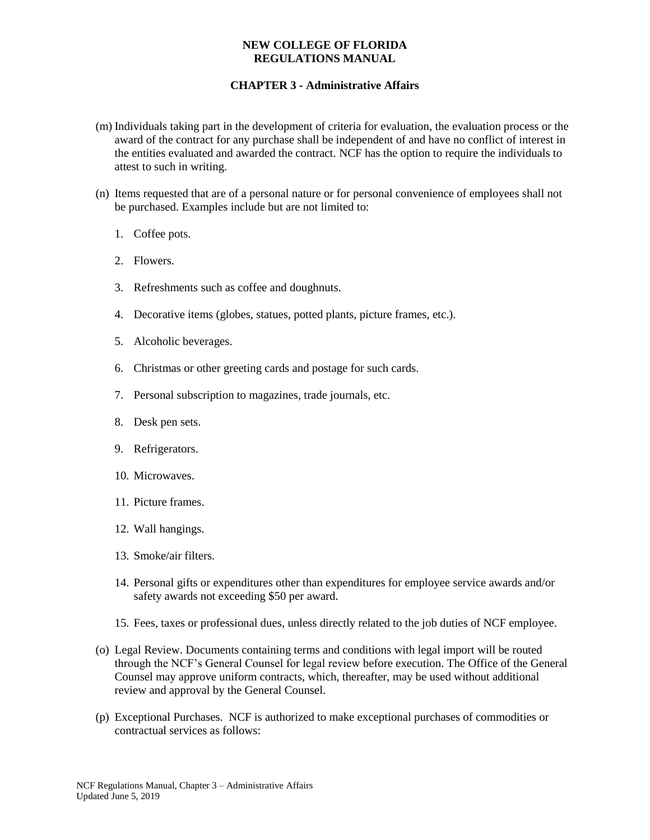- (m) Individuals taking part in the development of criteria for evaluation, the evaluation process or the award of the contract for any purchase shall be independent of and have no conflict of interest in the entities evaluated and awarded the contract. NCF has the option to require the individuals to attest to such in writing.
- (n) Items requested that are of a personal nature or for personal convenience of employees shall not be purchased. Examples include but are not limited to:
	- 1. Coffee pots.
	- 2. Flowers.
	- 3. Refreshments such as coffee and doughnuts.
	- 4. Decorative items (globes, statues, potted plants, picture frames, etc.).
	- 5. Alcoholic beverages.
	- 6. Christmas or other greeting cards and postage for such cards.
	- 7. Personal subscription to magazines, trade journals, etc.
	- 8. Desk pen sets.
	- 9. Refrigerators.
	- 10. Microwaves.
	- 11. Picture frames.
	- 12. Wall hangings.
	- 13. Smoke/air filters.
	- 14. Personal gifts or expenditures other than expenditures for employee service awards and/or safety awards not exceeding \$50 per award.
	- 15. Fees, taxes or professional dues, unless directly related to the job duties of NCF employee.
- (o) Legal Review. Documents containing terms and conditions with legal import will be routed through the NCF's General Counsel for legal review before execution. The Office of the General Counsel may approve uniform contracts, which, thereafter, may be used without additional review and approval by the General Counsel.
- (p) Exceptional Purchases. NCF is authorized to make exceptional purchases of commodities or contractual services as follows: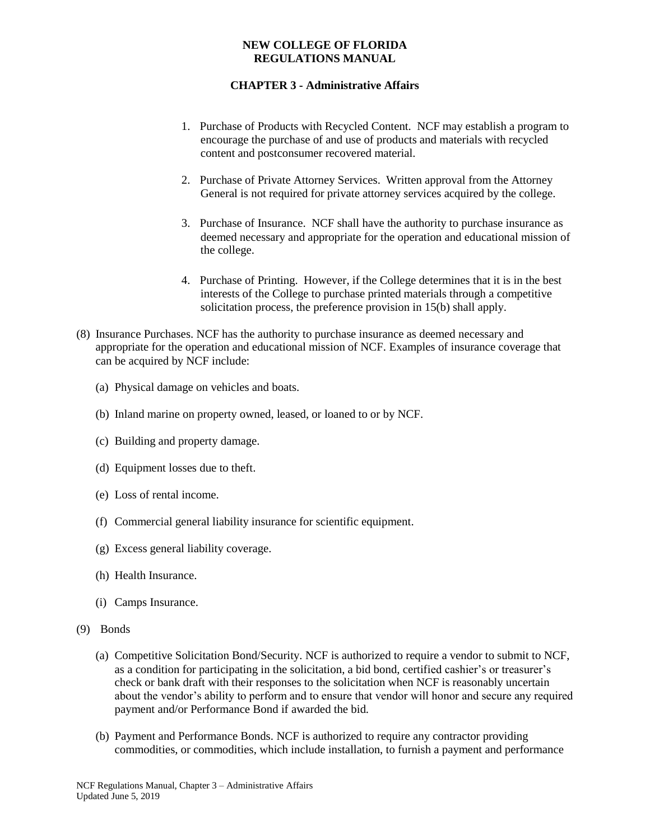- 1. Purchase of Products with Recycled Content. NCF may establish a program to encourage the purchase of and use of products and materials with recycled content and postconsumer recovered material.
- 2. Purchase of Private Attorney Services. Written approval from the Attorney General is not required for private attorney services acquired by the college.
- 3. Purchase of Insurance. NCF shall have the authority to purchase insurance as deemed necessary and appropriate for the operation and educational mission of the college.
- 4. Purchase of Printing. However, if the College determines that it is in the best interests of the College to purchase printed materials through a competitive solicitation process, the preference provision in 15(b) shall apply.
- (8) Insurance Purchases. NCF has the authority to purchase insurance as deemed necessary and appropriate for the operation and educational mission of NCF. Examples of insurance coverage that can be acquired by NCF include:
	- (a) Physical damage on vehicles and boats.
	- (b) Inland marine on property owned, leased, or loaned to or by NCF.
	- (c) Building and property damage.
	- (d) Equipment losses due to theft.
	- (e) Loss of rental income.
	- (f) Commercial general liability insurance for scientific equipment.
	- (g) Excess general liability coverage.
	- (h) Health Insurance.
	- (i) Camps Insurance.
- (9) Bonds
	- (a) Competitive Solicitation Bond/Security. NCF is authorized to require a vendor to submit to NCF, as a condition for participating in the solicitation, a bid bond, certified cashier's or treasurer's check or bank draft with their responses to the solicitation when NCF is reasonably uncertain about the vendor's ability to perform and to ensure that vendor will honor and secure any required payment and/or Performance Bond if awarded the bid.
	- (b) Payment and Performance Bonds. NCF is authorized to require any contractor providing commodities, or commodities, which include installation, to furnish a payment and performance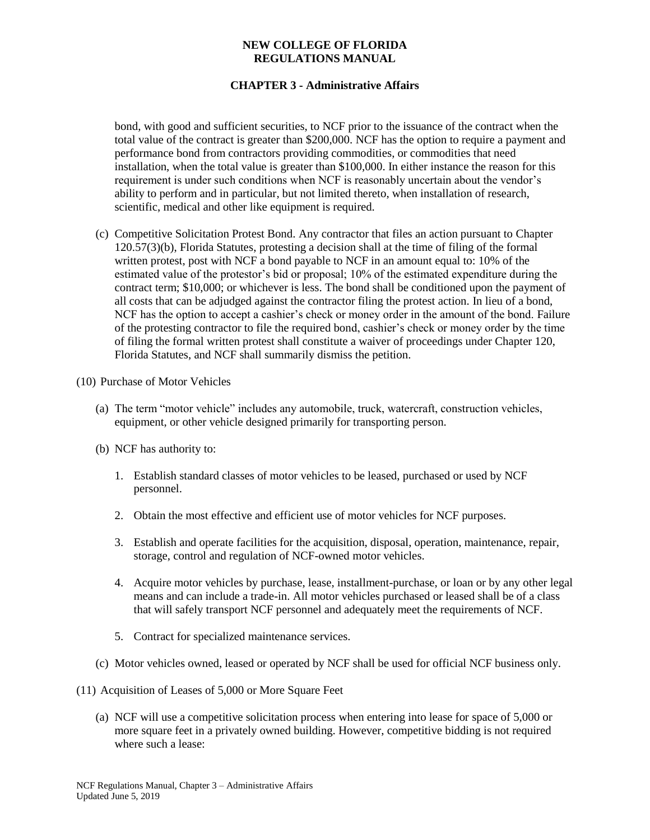## **CHAPTER 3 - Administrative Affairs**

bond, with good and sufficient securities, to NCF prior to the issuance of the contract when the total value of the contract is greater than \$200,000. NCF has the option to require a payment and performance bond from contractors providing commodities, or commodities that need installation, when the total value is greater than \$100,000. In either instance the reason for this requirement is under such conditions when NCF is reasonably uncertain about the vendor's ability to perform and in particular, but not limited thereto, when installation of research, scientific, medical and other like equipment is required.

(c) Competitive Solicitation Protest Bond. Any contractor that files an action pursuant to Chapter 120.57(3)(b), Florida Statutes, protesting a decision shall at the time of filing of the formal written protest, post with NCF a bond payable to NCF in an amount equal to: 10% of the estimated value of the protestor's bid or proposal; 10% of the estimated expenditure during the contract term; \$10,000; or whichever is less. The bond shall be conditioned upon the payment of all costs that can be adjudged against the contractor filing the protest action. In lieu of a bond, NCF has the option to accept a cashier's check or money order in the amount of the bond. Failure of the protesting contractor to file the required bond, cashier's check or money order by the time of filing the formal written protest shall constitute a waiver of proceedings under Chapter 120, Florida Statutes, and NCF shall summarily dismiss the petition.

(10) Purchase of Motor Vehicles

- (a) The term "motor vehicle" includes any automobile, truck, watercraft, construction vehicles, equipment, or other vehicle designed primarily for transporting person.
- (b) NCF has authority to:
	- 1. Establish standard classes of motor vehicles to be leased, purchased or used by NCF personnel.
	- 2. Obtain the most effective and efficient use of motor vehicles for NCF purposes.
	- 3. Establish and operate facilities for the acquisition, disposal, operation, maintenance, repair, storage, control and regulation of NCF-owned motor vehicles.
	- 4. Acquire motor vehicles by purchase, lease, installment-purchase, or loan or by any other legal means and can include a trade-in. All motor vehicles purchased or leased shall be of a class that will safely transport NCF personnel and adequately meet the requirements of NCF.
	- 5. Contract for specialized maintenance services.
- (c) Motor vehicles owned, leased or operated by NCF shall be used for official NCF business only.
- (11) Acquisition of Leases of 5,000 or More Square Feet
	- (a) NCF will use a competitive solicitation process when entering into lease for space of 5,000 or more square feet in a privately owned building. However, competitive bidding is not required where such a lease: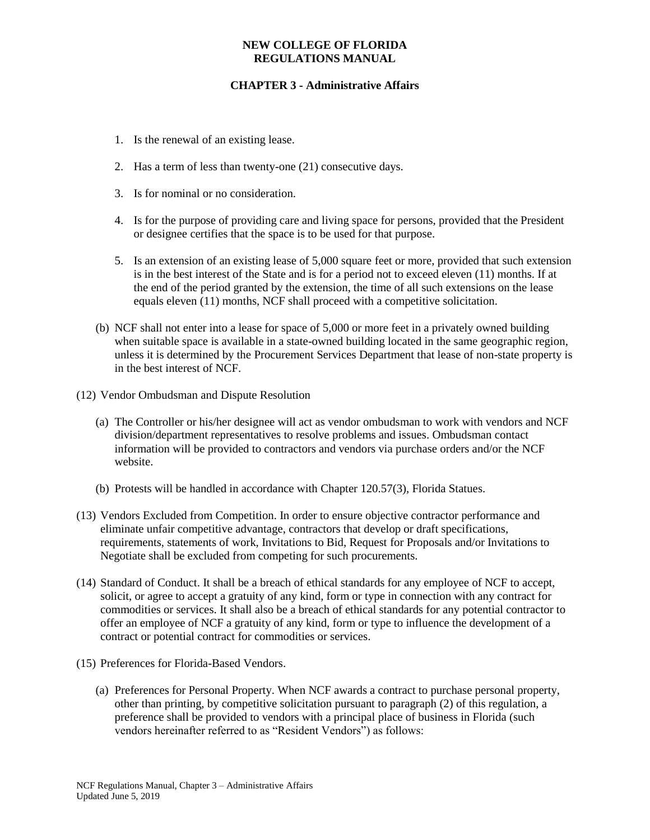- 1. Is the renewal of an existing lease.
- 2. Has a term of less than twenty-one (21) consecutive days.
- 3. Is for nominal or no consideration.
- 4. Is for the purpose of providing care and living space for persons, provided that the President or designee certifies that the space is to be used for that purpose.
- 5. Is an extension of an existing lease of 5,000 square feet or more, provided that such extension is in the best interest of the State and is for a period not to exceed eleven (11) months. If at the end of the period granted by the extension, the time of all such extensions on the lease equals eleven (11) months, NCF shall proceed with a competitive solicitation.
- (b) NCF shall not enter into a lease for space of 5,000 or more feet in a privately owned building when suitable space is available in a state-owned building located in the same geographic region, unless it is determined by the Procurement Services Department that lease of non-state property is in the best interest of NCF.
- (12) Vendor Ombudsman and Dispute Resolution
	- (a) The Controller or his/her designee will act as vendor ombudsman to work with vendors and NCF division/department representatives to resolve problems and issues. Ombudsman contact information will be provided to contractors and vendors via purchase orders and/or the NCF website.
	- (b) Protests will be handled in accordance with Chapter 120.57(3), Florida Statues.
- (13) Vendors Excluded from Competition. In order to ensure objective contractor performance and eliminate unfair competitive advantage, contractors that develop or draft specifications, requirements, statements of work, Invitations to Bid, Request for Proposals and/or Invitations to Negotiate shall be excluded from competing for such procurements.
- (14) Standard of Conduct. It shall be a breach of ethical standards for any employee of NCF to accept, solicit, or agree to accept a gratuity of any kind, form or type in connection with any contract for commodities or services. It shall also be a breach of ethical standards for any potential contractor to offer an employee of NCF a gratuity of any kind, form or type to influence the development of a contract or potential contract for commodities or services.
- (15) Preferences for Florida-Based Vendors.
	- (a) Preferences for Personal Property. When NCF awards a contract to purchase personal property, other than printing, by competitive solicitation pursuant to paragraph (2) of this regulation, a preference shall be provided to vendors with a principal place of business in Florida (such vendors hereinafter referred to as "Resident Vendors") as follows: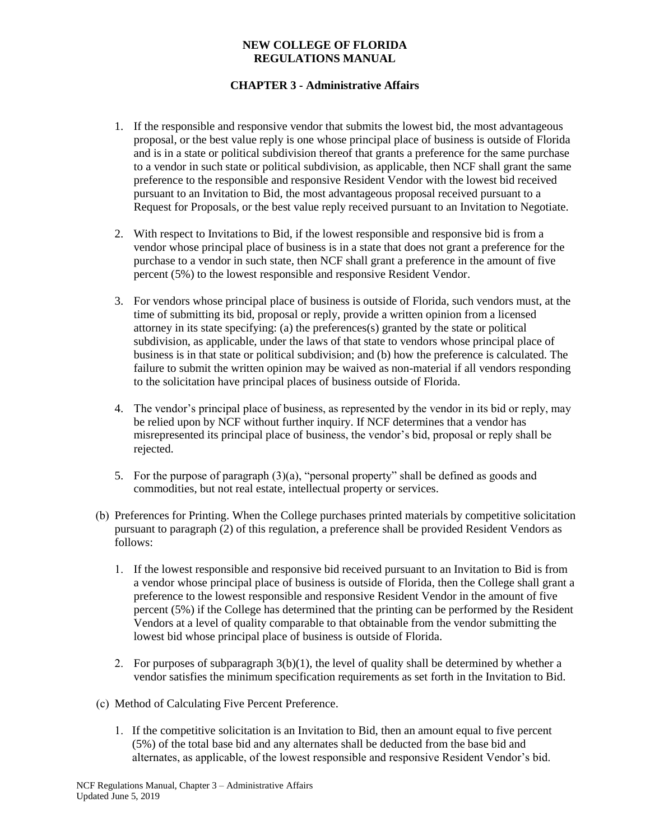- 1. If the responsible and responsive vendor that submits the lowest bid, the most advantageous proposal, or the best value reply is one whose principal place of business is outside of Florida and is in a state or political subdivision thereof that grants a preference for the same purchase to a vendor in such state or political subdivision, as applicable, then NCF shall grant the same preference to the responsible and responsive Resident Vendor with the lowest bid received pursuant to an Invitation to Bid, the most advantageous proposal received pursuant to a Request for Proposals, or the best value reply received pursuant to an Invitation to Negotiate.
- 2. With respect to Invitations to Bid, if the lowest responsible and responsive bid is from a vendor whose principal place of business is in a state that does not grant a preference for the purchase to a vendor in such state, then NCF shall grant a preference in the amount of five percent (5%) to the lowest responsible and responsive Resident Vendor.
- 3. For vendors whose principal place of business is outside of Florida, such vendors must, at the time of submitting its bid, proposal or reply, provide a written opinion from a licensed attorney in its state specifying: (a) the preferences(s) granted by the state or political subdivision, as applicable, under the laws of that state to vendors whose principal place of business is in that state or political subdivision; and (b) how the preference is calculated. The failure to submit the written opinion may be waived as non-material if all vendors responding to the solicitation have principal places of business outside of Florida.
- 4. The vendor's principal place of business, as represented by the vendor in its bid or reply, may be relied upon by NCF without further inquiry. If NCF determines that a vendor has misrepresented its principal place of business, the vendor's bid, proposal or reply shall be rejected.
- 5. For the purpose of paragraph (3)(a), "personal property" shall be defined as goods and commodities, but not real estate, intellectual property or services.
- (b) Preferences for Printing. When the College purchases printed materials by competitive solicitation pursuant to paragraph (2) of this regulation, a preference shall be provided Resident Vendors as follows:
	- 1. If the lowest responsible and responsive bid received pursuant to an Invitation to Bid is from a vendor whose principal place of business is outside of Florida, then the College shall grant a preference to the lowest responsible and responsive Resident Vendor in the amount of five percent (5%) if the College has determined that the printing can be performed by the Resident Vendors at a level of quality comparable to that obtainable from the vendor submitting the lowest bid whose principal place of business is outside of Florida.
	- 2. For purposes of subparagraph  $3(b)(1)$ , the level of quality shall be determined by whether a vendor satisfies the minimum specification requirements as set forth in the Invitation to Bid.
- (c) Method of Calculating Five Percent Preference.
	- 1. If the competitive solicitation is an Invitation to Bid, then an amount equal to five percent (5%) of the total base bid and any alternates shall be deducted from the base bid and alternates, as applicable, of the lowest responsible and responsive Resident Vendor's bid.